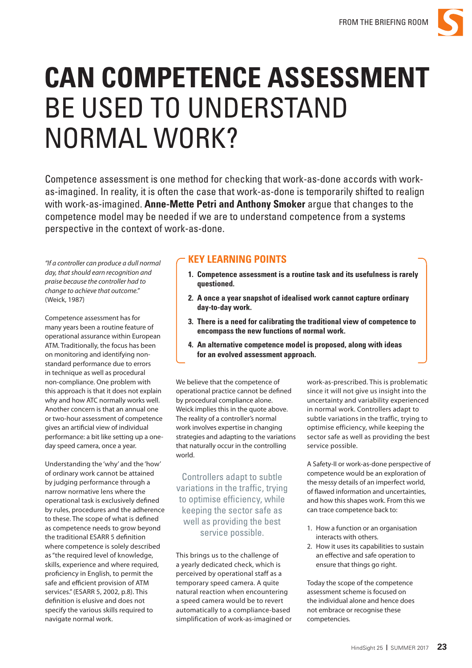

# **CAN COMPETENCE ASSESSMENT**  BE USED TO UNDERSTAND NORMAL WORK?

Competence assessment is one method for checking that work-as-done accords with workas-imagined. In reality, it is often the case that work-as-done is temporarily shifted to realign with work-as-imagined. **Anne-Mette Petri and Anthony Smoker** argue that changes to the competence model may be needed if we are to understand competence from a systems perspective in the context of work-as-done.

*"If a controller can produce a dull normal day, that should earn recognition and praise because the controller had to change to achieve that outcome."* (Weick, 1987)

Competence assessment has for many years been a routine feature of operational assurance within European ATM. Traditionally, the focus has been on monitoring and identifying nonstandard performance due to errors in technique as well as procedural non-compliance. One problem with this approach is that it does not explain why and how ATC normally works well. Another concern is that an annual one or two-hour assessment of competence gives an artificial view of individual performance: a bit like setting up a oneday speed camera, once a year.

Understanding the 'why' and the 'how' of ordinary work cannot be attained by judging performance through a narrow normative lens where the operational task is exclusively defined by rules, procedures and the adherence to these. The scope of what is defined as competence needs to grow beyond the traditional ESARR 5 definition where competence is solely described as "the required level of knowledge, skills, experience and where required, proficiency in English, to permit the safe and efficient provision of ATM services." (ESARR 5, 2002, p.8). This definition is elusive and does not specify the various skills required to navigate normal work.

# **KEY LEARNING POINTS**

- **1. Competence assessment is a routine task and its usefulness is rarely questioned.**
- **2. A once a year snapshot of idealised work cannot capture ordinary day-to-day work.**
- **3. There is a need for calibrating the traditional view of competence to encompass the new functions of normal work.**
- **4. An alternative competence model is proposed, along with ideas for an evolved assessment approach.**

We believe that the competence of operational practice cannot be defined by procedural compliance alone. Weick implies this in the quote above. The reality of a controller's normal work involves expertise in changing strategies and adapting to the variations that naturally occur in the controlling world.

Controllers adapt to subtle variations in the traffic, trying to optimise efficiency, while keeping the sector safe as well as providing the best service possible.

This brings us to the challenge of a yearly dedicated check, which is perceived by operational staff as a temporary speed camera. A quite natural reaction when encountering a speed camera would be to revert automatically to a compliance-based simplification of work-as-imagined or work-as-prescribed. This is problematic since it will not give us insight into the uncertainty and variability experienced in normal work. Controllers adapt to subtle variations in the traffic, trying to optimise efficiency, while keeping the sector safe as well as providing the best service possible.

A Safety-II or work-as-done perspective of competence would be an exploration of the messy details of an imperfect world, of flawed information and uncertainties, and how this shapes work. From this we can trace competence back to:

- 1. How a function or an organisation interacts with others.
- 2. How it uses its capabilities to sustain an effective and safe operation to ensure that things go right.

Today the scope of the competence assessment scheme is focused on the individual alone and hence does not embrace or recognise these competencies.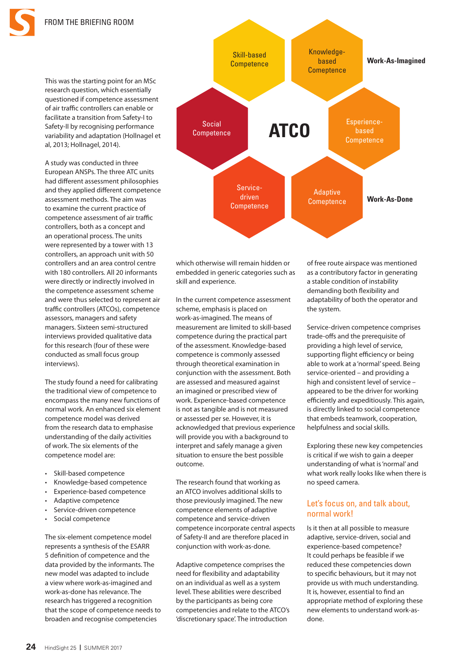This was the starting point for an MSc research question, which essentially questioned if competence assessment of air traffic controllers can enable or facilitate a transition from Safety-I to Safety-II by recognising performance variability and adaptation (Hollnagel et al, 2013; Hollnagel, 2014).

A study was conducted in three European ANSPs. The three ATC units had different assessment philosophies and they applied different competence assessment methods. The aim was to examine the current practice of competence assessment of air traffic controllers, both as a concept and an operational process. The units were represented by a tower with 13 controllers, an approach unit with 50 controllers and an area control centre with 180 controllers. All 20 informants were directly or indirectly involved in the competence assessment scheme and were thus selected to represent air traffic controllers (ATCOs), competence assessors, managers and safety managers. Sixteen semi-structured interviews provided qualitative data for this research (four of these were conducted as small focus group interviews).

The study found a need for calibrating the traditional view of competence to encompass the many new functions of normal work. An enhanced six element competence model was derived from the research data to emphasise understanding of the daily activities of work. The six elements of the competence model are:

- Skill-based competence
- Knowledge-based competence
- Experience-based competence
- Adaptive competence
- Service-driven competence
- Social competence

The six-element competence model represents a synthesis of the ESARR 5 definition of competence and the data provided by the informants. The new model was adapted to include a view where work-as-imagined and work-as-done has relevance. The research has triggered a recognition that the scope of competence needs to broaden and recognise competencies



which otherwise will remain hidden or embedded in generic categories such as skill and experience.

In the current competence assessment scheme, emphasis is placed on work-as-imagined. The means of measurement are limited to skill-based competence during the practical part of the assessment. Knowledge-based competence is commonly assessed through theoretical examination in conjunction with the assessment. Both are assessed and measured against an imagined or prescribed view of work. Experience-based competence is not as tangible and is not measured or assessed per se. However, it is acknowledged that previous experience will provide you with a background to interpret and safely manage a given situation to ensure the best possible outcome.

The research found that working as an ATCO involves additional skills to those previously imagined. The new competence elements of adaptive competence and service-driven competence incorporate central aspects of Safety-II and are therefore placed in conjunction with work-as-done.

Adaptive competence comprises the need for flexibility and adaptability on an individual as well as a system level. These abilities were described by the participants as being core competencies and relate to the ATCO's 'discretionary space'. The introduction

of free route airspace was mentioned as a contributory factor in generating a stable condition of instability demanding both flexibility and adaptability of both the operator and the system.

Service-driven competence comprises trade-offs and the prerequisite of providing a high level of service, supporting flight efficiency or being able to work at a 'normal' speed. Being service-oriented – and providing a high and consistent level of service – appeared to be the driver for working efficiently and expeditiously. This again, is directly linked to social competence that embeds teamwork, cooperation, helpfulness and social skills.

Exploring these new key competencies is critical if we wish to gain a deeper understanding of what is 'normal' and what work really looks like when there is no speed camera.

## Let's focus on, and talk about, normal work!

Is it then at all possible to measure adaptive, service-driven, social and experience-based competence? It could perhaps be feasible if we reduced these competencies down to specific behaviours, but it may not provide us with much understanding. It is, however, essential to find an appropriate method of exploring these new elements to understand work-asdone.